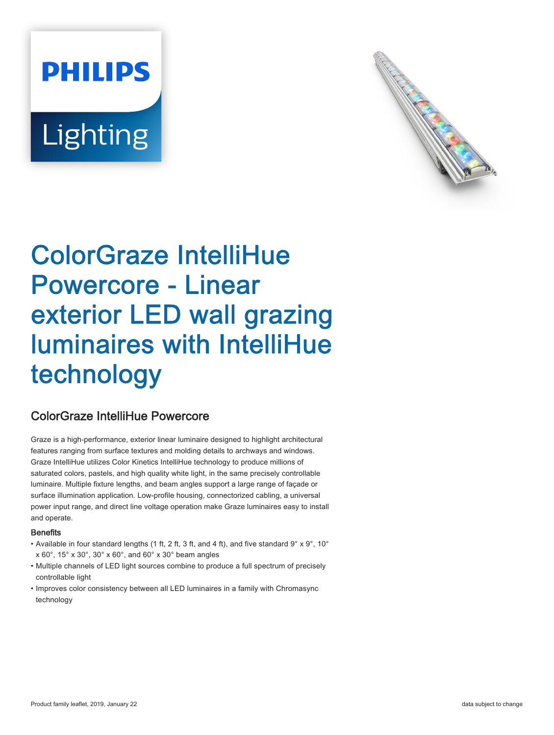# **PHILIPS** Lighting



## ColorGraze IntelliHue Powercore - Linear exterior LED wall grazing luminaires with IntelliHue technology

### ColorGraze IntelliHue Powercore

Graze is a high-performance, exterior linear luminaire designed to highlight architectural features ranging from surface textures and molding details to archways and windows. Graze IntelliHue utilizes Color Kinetics IntelliHue technology to produce millions of saturated colors, pastels, and high quality white light, in the same precisely controllable luminaire. Multiple fixture lengths, and beam angles support a large range of façade or surface illumination application. Low-profile housing, connectorized cabling, a universal power input range, and direct line voltage operation make Graze luminaires easy to install and operate.

#### **Benefits**

- Available in four standard lengths (1 ft, 2 ft, 3 ft, and 4 ft), and five standard  $9^\circ \times 9^\circ$ , 10° x 60°, 15° x 30°, 30° x 60°, and 60° x 30° beam angles
- Multiple channels of LED light sources combine to produce a full spectrum of precisely controllable light
- Improves color consistency between all LED luminaires in a family with Chromasync technology